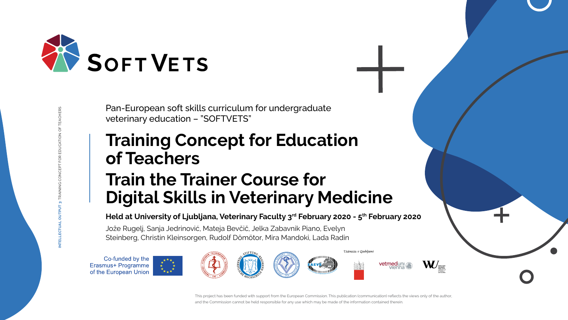**INTELLECTUAL OUTPUT 3:** TRAINING CONCEPT FOR EDUCATION OF TEACHERS





# **Training Concept for Education of Teachers Train the Trainer Course for Digital Skills in Veterinary Medicine**

## Held at University of Ljubljana, Veterinary Faculty 3<sup>rd</sup> February 2020 - 5<sup>th</sup> February 2020



Pan-European soft skills curriculum for undergraduate veterinary education – "SOFTVETS"

Jože Rugelj, Sanja Jedrinović, Mateja Bevčič, Jelka Zabavnik Piano, Evelyn Steinberg, Christin Kleinsorgen, Rudolf Dömötor, Mira Mandoki, Lada Radin

Co-funded by the Erasmus+ Programme of the European Union





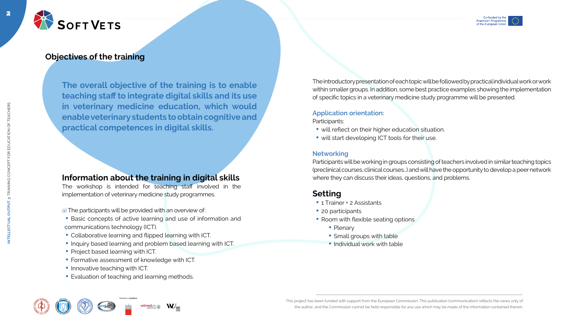



2



**INTELLECTUAL OUTPUT 3:** TRAINING CONCEPT FOR EDUCATION OF TEACHERS

NTELLECTUAL

INING CONCEPT FOR EDUCATION OF TEACHERS

**The overall objective of the training is to enable teaching staff to integrate digital skills and its use in veterinary medicine education, which would enable veterinary students to obtain cognitive and practical competences in digital skills.**



## **Objectives of the training**

The introductory presentation of each topic will be followed by practical individual work or work within smaller groups. In addition, some best practice examples showing the implementation of specific topics in a veterinary medicine study programme will be presented.

The workshop is intended for teaching staff involved in the implementation of veterinary medicine study programmes.

- a) The participants will be provided with an overview of:
- Basic concepts of active learning and use of information and communications technology (ICT).
- Collaborative learning and flipped learning with ICT.
- Inquiry based learning and problem based learning with ICT.
- Project based learning with ICT.
- Formative assessment of knowledge with ICT.
- Innovative teaching with ICT
- Evaluation of teaching and learning methods.

Univerza v Ljubljar









#### **Application orientation:**

Participants:

- will reflect on their higher education situation.
- will start developing ICT tools for their use.

#### **Networking**

Participants will be working in groups consisting of teachers involved in similar teaching topics (preclinical courses, clinical courses…) and will have the opportunity to develop a peer network where they can discuss their ideas, questions, and problems.

# **Setting**

- 1 Trainer + 2 Assistants
- 20 participants
- Room with flexible seating options
	- Plenary
	- Small groups with table
	- Individual work with table

## **Information about the training in digital skills**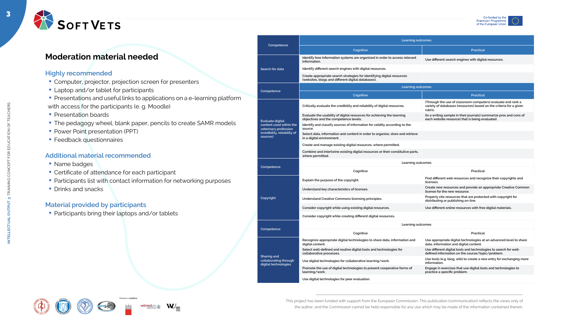

**INTELLECTUAL OUTPUT 3:** TRAINING CONCEPT FOR EDUCATION OF TEACHERS

TRA

 $5<sub>o</sub>$ 

CONCEPT

FOR EDUCATION OF TEACHERS





## **Moderation material needed**

#### **Highly recommended**

- Computer, projector, projection screen for presenters
- Laptop and/or tablet for participants
- Presentations and useful links to applications on a e-learning platform with access for the participants (e. g. Moodle)
- Presentation boards
- The pedagogy wheel, blank paper, pencils to create SAMR models
- Power Point presentation (PPT)
- Feedback questionnaires

#### **Additional material recommended**

- Name badges
- Certificate of attendance for each participant
- Participants list with contact information for networking purposes
- Drinks and snacks

#### **Material provided by participants**

• Participants bring their laptops and/or tablets







Univerza v Ljubljani







|                                                                     | Learning outcomes                                                                                                            |                                                                                                                                               |  |  |
|---------------------------------------------------------------------|------------------------------------------------------------------------------------------------------------------------------|-----------------------------------------------------------------------------------------------------------------------------------------------|--|--|
| Competence                                                          | Cognitive                                                                                                                    | <b>Practical</b>                                                                                                                              |  |  |
|                                                                     | Identify how information systems are organized in order to access relevant<br>information.                                   | Use different search engines with digital resources.                                                                                          |  |  |
| Search for data                                                     | Identify different search engines with digital resources.                                                                    |                                                                                                                                               |  |  |
|                                                                     | Create appropriate search strategies for identifying digital resources<br>(websites, blogs and different digital databases). |                                                                                                                                               |  |  |
|                                                                     | Learning outcomes                                                                                                            |                                                                                                                                               |  |  |
| Competence                                                          | Cognitive                                                                                                                    | <b>Practical</b>                                                                                                                              |  |  |
|                                                                     | Critically evaluate the credibility and reliability of digital resources.                                                    | (Through the use of classroom computers) evaluate and rank a<br>variety of databases (resources) based on the criteria for a given<br>rubric. |  |  |
| <b>Evaluate digital</b>                                             | Evaluate the usability of digital resources for achieving the learning<br>objectives and the competence levels.              | (In a writing sample in their journals) summarize pros and cons of<br>each website resource) that is being evaluated                          |  |  |
| content used within the<br>veterinary profession                    | Identify and classify sources of information for validity according to the<br>source.                                        |                                                                                                                                               |  |  |
| (credibility, reliability of<br>sources)                            | Select data, information and content in order to organise, store and retrieve<br>in a digital environment.                   |                                                                                                                                               |  |  |
|                                                                     | Create and manage existing digital resources, where permitted.                                                               |                                                                                                                                               |  |  |
|                                                                     | Combine and intertwine existing digital resources or their constitutive parts,<br>where permitted.                           |                                                                                                                                               |  |  |
|                                                                     | Learning outcomes                                                                                                            |                                                                                                                                               |  |  |
| Competence                                                          | Cognitive                                                                                                                    | Practical                                                                                                                                     |  |  |
|                                                                     | Explain the purpose of the copyright.                                                                                        | Find different web resources and recognize their copyrights and<br>licenses.                                                                  |  |  |
|                                                                     | Understand key characteristics of licenses.                                                                                  | Create new resources and provide an appropriate Creative Common<br>license for the new resource.                                              |  |  |
| <b>Copyright</b>                                                    | Understand Creative Commons licensing principles.                                                                            | Properly cite resources that are protected with copyright for<br>distributing or publishing on-line.                                          |  |  |
|                                                                     | Consider copyright while using existing digital resources.                                                                   | Use different online resources with free digital materials.                                                                                   |  |  |
|                                                                     | Consider copyright while creating different digital resources.                                                               |                                                                                                                                               |  |  |
| Competence                                                          | Learning outcomes                                                                                                            |                                                                                                                                               |  |  |
|                                                                     | Cognitive                                                                                                                    | Practical                                                                                                                                     |  |  |
|                                                                     | Recognize appropriate digital technologies to share data, information and<br>digital content.                                | Use appropriate digital technologies at an advanced level to share<br>data, information and digital content.                                  |  |  |
|                                                                     | Select well-defined and routine digital tools and technologies for<br>collaborative processes.                               | Use different digital tools and technologies to search for well-<br>defined information on the course/topic/problem.                          |  |  |
| <b>Sharing and</b><br>collaborating through<br>digital technologies | Use digital technologies for collaborative learning/work.                                                                    | Use tools (e.g. blog, wiki) to create a new entry for exchanging more<br>information.                                                         |  |  |
|                                                                     | Promote the use of digital technologies to present cooperative forms of<br>learning/work.                                    | Engage in exercises that use digital tools and technologies to<br>practice a specific problem.                                                |  |  |
|                                                                     | Use digital technologies for peer evaluation.                                                                                |                                                                                                                                               |  |  |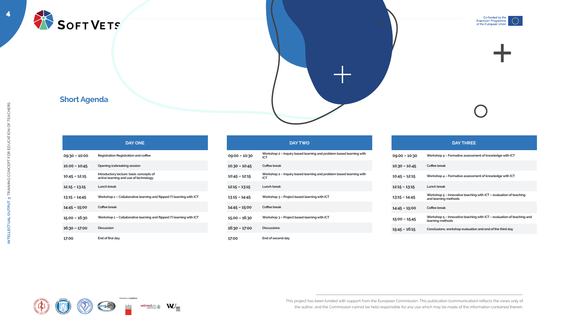









### **Short Agenda**

|                 | <b>DAY ONE</b>                                                                   |
|-----------------|----------------------------------------------------------------------------------|
| $09:30 - 10:00$ | Registration Registration and coffee                                             |
| $10.00 - 10:45$ | Opening icebreaking session                                                      |
| $10.45 - 12.15$ | Introductory lecture: basic concepts of<br>active learning and use of technology |
| $12.15 - 13.15$ | Lunch break                                                                      |
| $13.15 - 14.45$ | Workshop 1 - Collaborative learning and flipped (?) learning with ICT            |
| $14:45 - 15:00$ | Coffee break                                                                     |
| $15.00 - 16:30$ | Workshop 1 - Collaborative learning and flipped (?) learning with ICT            |
| $16:30 - 17:00$ | <b>Discussion</b>                                                                |
| 17:00           | End of first day                                                                 |













#### **DAY TWO**

**09:00 – 10:30 Workshop 2 – Inquiry based learning and problem based learning with** 

**10.30 – 10:45 Coffee break 10:45 – 12:15 Workshop 2 – Inquiry based learning and problem based learning with 12:15 – 13:15 Lunch break**

**13.15 – 14:45 Workshop 3 – Project based learning with ICT**

**14:45 – 15:00 Coffee break**

**15.00 – 16:30 Workshop 3 – Project based learning with ICT**

**16:30 – 17:00 Discussions**

**17:00 End of second day**

|                 | <b>DAY THREE</b>                                                                             |
|-----------------|----------------------------------------------------------------------------------------------|
| $09.00 - 10:30$ | Workshop 4 – Formative assessment of knowledge with ICT                                      |
| $10.30 - 10.45$ | Coffee break                                                                                 |
| $10.45 - 12:15$ | Workshop 4 – Formative assessment of knowledge with ICT                                      |
| $12:15 - 13:15$ | Lunch break                                                                                  |
| $13:15 - 14:45$ | Workshop $5$ – Innovative teaching with ICT – evaluation of teaching<br>and learning methods |
| $14:45 - 15:00$ | Coffee break                                                                                 |
| $15:00 - 15.45$ | Workshop 5 – Innovative teaching with ICT – evaluation of teaching and<br>learning methods   |
| $15:45 - 16:15$ | Conclusions, workshop evaluation and end of the third day                                    |
|                 |                                                                                              |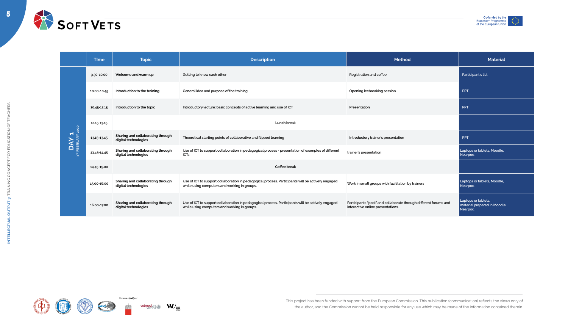





















5





|                                             | <b>Time</b> | <b>Topic</b>                                              | <b>Description</b>                                                                                                                                |
|---------------------------------------------|-------------|-----------------------------------------------------------|---------------------------------------------------------------------------------------------------------------------------------------------------|
| 3RD FEBRUARY 2020<br>$\widehat{\textbf{K}}$ | 9.30-10.00  | Welcome and warm up                                       | Getting to know each other                                                                                                                        |
|                                             | 10.00-10.45 | Introduction to the training                              | General idea and purpose of the training                                                                                                          |
|                                             | 10.45-12.15 | Introduction to the topic                                 | Introductory lecture: basic concepts of active learning and use of ICT                                                                            |
|                                             | 12.15-13.15 |                                                           | <b>Lunch break</b>                                                                                                                                |
|                                             | 13.15-13.45 | Sharing and collaborating through<br>digital technologies | Theoretical starting points of collaborative and flipped learning                                                                                 |
|                                             | 13.45-14.45 | Sharing and collaborating through<br>digital technologies | Use of ICT to support collaboration in pedagogical process - presentation of examples of different<br><b>ICTs</b>                                 |
|                                             | 14.45-15.00 |                                                           | <b>Coffee break</b>                                                                                                                               |
|                                             | 15.00-16.00 | Sharing and collaborating through<br>digital technologies | Use of ICT to support collaboration in pedagogical process. Participants will be actively engaged<br>while using computers and working in groups. |
|                                             | 16.00-17.00 | Sharing and collaborating through<br>digital technologies | Use of ICT to support collaboration in pedagogical process. Participants will be actively engaged<br>while using computers and working in groups. |

| <b>Time</b> | <b>Topic</b>                                              | <b>Description</b>                                                                                                                                | <b>Method</b>                                                                                         | <b>Material</b>                                                |
|-------------|-----------------------------------------------------------|---------------------------------------------------------------------------------------------------------------------------------------------------|-------------------------------------------------------------------------------------------------------|----------------------------------------------------------------|
| 9.30-10.00  | Welcome and warm up                                       | Getting to know each other                                                                                                                        | <b>Registration and coffee</b>                                                                        | Participant's list                                             |
| 10.00-10.45 | Introduction to the training                              | General idea and purpose of the training                                                                                                          | Opening icebreaking session                                                                           | <b>PPT</b>                                                     |
| 10.45-12.15 | Introduction to the topic                                 | Introductory lecture: basic concepts of active learning and use of ICT                                                                            | Presentation                                                                                          | <b>PPT</b>                                                     |
| 12.15-13.15 |                                                           | <b>Lunch break</b>                                                                                                                                |                                                                                                       |                                                                |
| 13.15-13.45 | Sharing and collaborating through<br>digital technologies | Theoretical starting points of collaborative and flipped learning                                                                                 | Introductory trainer's presentation                                                                   | <b>PPT</b>                                                     |
| 13.45-14.45 | Sharing and collaborating through<br>digital technologies | Use of ICT to support collaboration in pedagogical process - presentation of examples of different<br><b>ICTs</b>                                 | trainer's presentation                                                                                | Laptops or tablets, Moodle,<br><b>Nearpod</b>                  |
| 14.45-15.00 |                                                           | <b>Coffee break</b>                                                                                                                               |                                                                                                       |                                                                |
| 15.00-16.00 | Sharing and collaborating through<br>digital technologies | Use of ICT to support collaboration in pedagogical process. Participants will be actively engaged<br>while using computers and working in groups. | Work in small groups with facilitation by trainers                                                    | Laptops or tablets, Moodle,<br>Nearpod                         |
| 16.00-17.00 | Sharing and collaborating through<br>digital technologies | Use of ICT to support collaboration in pedagogical process. Participants will be actively engaged<br>while using computers and working in groups. | Participants "post" and collaborate through different forums and<br>interactive online presentations. | Laptops or tablets,<br>material prepared in Moodle,<br>Nearpod |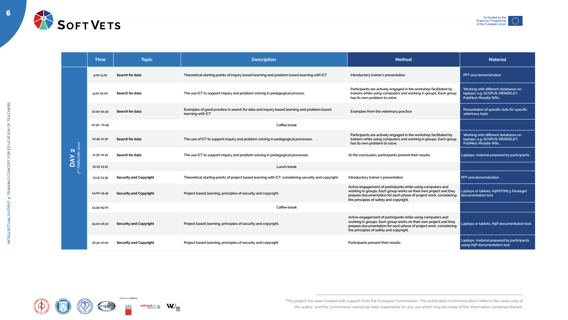6





| <b>Time</b><br><b>Topic</b><br><b>Description</b><br><b>Method</b><br>Search for data<br>Theoretical starting points of inquiry based learning and problem based learning with ICT<br>Introductory trainer's presentation<br>$9.00 - 9.20$                                                                                                                        | <b>Material</b><br><b>PPT</b> and demonstration                                               |
|-------------------------------------------------------------------------------------------------------------------------------------------------------------------------------------------------------------------------------------------------------------------------------------------------------------------------------------------------------------------|-----------------------------------------------------------------------------------------------|
|                                                                                                                                                                                                                                                                                                                                                                   |                                                                                               |
|                                                                                                                                                                                                                                                                                                                                                                   |                                                                                               |
| Participants are actively engaged in the workshop facilitated by<br>trainers while using computers and working in groups. Each group<br>Search for data<br>The use ICT to support inquiry and problem solving in pedagogical process.<br>9.20-10.00<br>has its own problem to solve.                                                                              | Working with different databases on<br>laptops; e.g. SCOPUS; MENDELEY;<br>PubMed, Moodle Wiki |
| Examples of good practice in search for data and inquiry based learning and problem based<br>Search for data<br>Examples from the veterinary practice<br>10.00-10.30<br>learning with ICT                                                                                                                                                                         | Presentation of specific data for specific<br>veterinary topic                                |
| Coffee break<br>10.30-10.45                                                                                                                                                                                                                                                                                                                                       |                                                                                               |
| Participants are actively engaged in the workshop facilitated by<br>trainers while using computers and working in groups. Each group<br>Search for data<br>The use of ICT to support inquiry and problem solving in pedagogical processes.<br>10.45-11.30<br>has its own problem to solve.<br>020                                                                 | Working with different databases on<br>laptops; e.g. SCOPUS; MENDELEY;<br>PubMed, Moodle Wiki |
| N ><br><b>BRUAR</b><br>Search for data<br>The use ICT to support inquiry and problem solving in pedagogical processes.<br>At the conclusion, participants present their results.<br>11.30-12.15                                                                                                                                                                   | Laptops, material prepared by participants.                                                   |
| <b>Lunch break</b><br>12.15-13.15                                                                                                                                                                                                                                                                                                                                 |                                                                                               |
| <b>Security and Copyright</b><br>Theoretical starting points of project based learning with ICT, considering security and copyright.<br>Introductory trainer's presentation<br>13.15-13.35                                                                                                                                                                        | <b>PPT</b> and demonstration                                                                  |
| Active engagement of participants while using computers and<br>working in groups. Each group works on their own project and they<br><b>Security and Copyright</b><br>Project based learning, principles of security and copyright.<br>14.00-14.45<br>prepare documentation for each phase of project work, considering<br>the principles of safety and copyright. | Laptops or tablets, H5P(HTML5 Package)<br>documentation tool                                  |
| Coffee break<br>14.45-15.00                                                                                                                                                                                                                                                                                                                                       |                                                                                               |
| Active engagement of participants while using computers and<br>working in groups. Each group works on their own project and they<br>Project based learning, principles of security and copyright.<br><b>Security and Copyright</b><br>15.00-16.30<br>prepare documentation for each phase of project work, considering<br>the principles of safety and copyright. | Laptops or tablets, H5P documentation tool                                                    |
| Project based learning, principles of security and copyright<br>Participants present their results.<br><b>Security and Copyright</b><br>16.30-17.00                                                                                                                                                                                                               | Laptops, material prepared by participants<br>using H5P documentation tool                    |











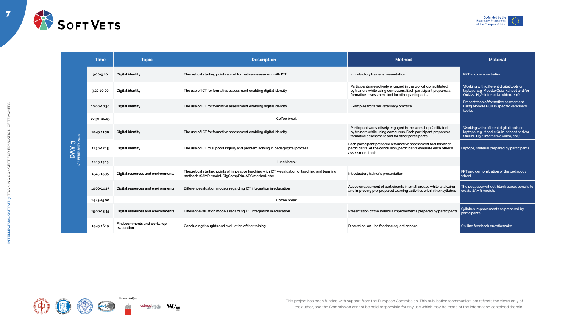7





















|                                                      | <b>Time</b>    | <b>Topic</b>                                     | <b>Description</b>                                                                                                                                     | <b>Method</b>                                                                                                                                                                       | <b>Material</b>                                                                                                               |
|------------------------------------------------------|----------------|--------------------------------------------------|--------------------------------------------------------------------------------------------------------------------------------------------------------|-------------------------------------------------------------------------------------------------------------------------------------------------------------------------------------|-------------------------------------------------------------------------------------------------------------------------------|
| 020<br>$\boldsymbol{\omega}$<br><b>DAY</b><br>FEBRUA | $9.00 - 9.20$  | <b>Digital identity</b>                          | Theoretical starting points about formative assessment with ICT.                                                                                       | Introductory trainer's presentation                                                                                                                                                 | <b>PPT and demonstration</b>                                                                                                  |
|                                                      | $9.20 - 10.00$ | <b>Digital identity</b>                          | The use of ICT for formative assessment enabling digital identity                                                                                      | Participants are actively engaged in the workshop facilitated<br>by trainers while using computers. Each participant prepares a<br>formative assessment tool for other participants | Working with different digital tools on<br>laptops; e.g. Moodle Quiz, Kahoot and/or<br>Quizizz, H5P (Interactive video, etc.) |
|                                                      | 10.00-10.30    | <b>Digital identity</b>                          | The use of ICT for formative assessment enabling digital identity                                                                                      | Examples from the veterinary practice                                                                                                                                               | Presentation of formative assessment<br>using Moodle Quiz in specific veterinary<br>topics                                    |
|                                                      | 10.30-10.45    | Coffee break                                     |                                                                                                                                                        |                                                                                                                                                                                     |                                                                                                                               |
|                                                      | 10.45-11.30    | <b>Digital identity</b>                          | The use of ICT for formative assessment enabling digital identity                                                                                      | Participants are actively engaged in the workshop facilitated<br>by trainers while using computers. Each participant prepares a<br>formative assessment tool for other participants | Working with different digital tools on<br>laptops; e.g. Moodle Quiz, Kahoot and/or<br>Quizizz, H5P (Interactive video, etc.) |
|                                                      | 11.30-12.15    | <b>Digital identity</b>                          | The use of ICT to support inquiry and problem solving in pedagogical process.                                                                          | Each participant prepared a formative assessment tool for other<br>participants. At the conclusion, participants evaluate each other's<br>assessment tools                          | Laptops, material prepared by participants.                                                                                   |
|                                                      | 12.15-13.15    |                                                  | <b>Lunch break</b>                                                                                                                                     |                                                                                                                                                                                     |                                                                                                                               |
|                                                      | 13.15-13.35    | Digital resources and environments               | Theoretical starting points of innovative teaching with ICT - evaluation of teaching and learning<br>methods (SAMR model, DigCompEdu, ABC method, etc) | Introductory trainer's presentation                                                                                                                                                 | PPT and demonstration of the pedagogy<br>wheel                                                                                |
|                                                      | 14.00-14.45    | Digital resources and environments               | Different evaluation models regarding ICT integration in education.                                                                                    | Active engagement of participants in small groups while analyzing<br>and improving pre-prepared learning activities within their syllabus                                           | The pedagogy wheel, blank paper, pencils to<br>create SAMR models                                                             |
|                                                      | 14.45-15.00    |                                                  | Coffee break                                                                                                                                           |                                                                                                                                                                                     |                                                                                                                               |
|                                                      | 15.00-15.45    | Digital resources and environments               | Different evaluation models regarding ICT integration in education.                                                                                    | Presentation of the syllabus improvements prepared by participants.                                                                                                                 | Syllabus improvements as prepared by<br>participants.                                                                         |
|                                                      | 15.45-16.15    | <b>Final comments and workshop</b><br>evaluation | Concluding thoughts and evaluation of the training.                                                                                                    | Discussion, on-line feedback questionnaire.                                                                                                                                         | On-line feedback questionnaire                                                                                                |